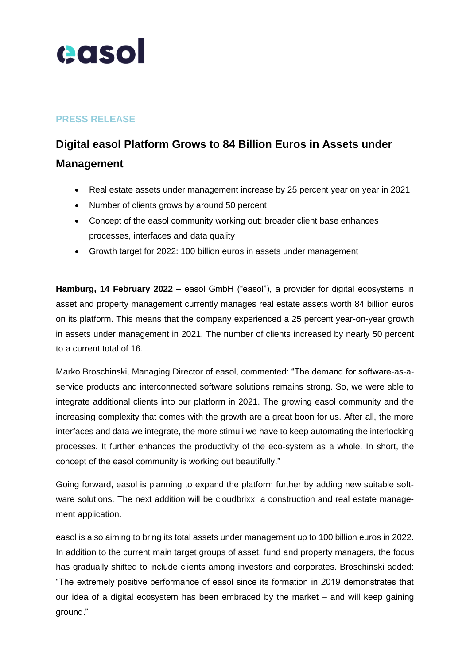

## **PRESS RELEASE**

## **Digital easol Platform Grows to 84 Billion Euros in Assets under Management**

- Real estate assets under management increase by 25 percent year on year in 2021
- Number of clients grows by around 50 percent
- Concept of the easol community working out: broader client base enhances processes, interfaces and data quality
- Growth target for 2022: 100 billion euros in assets under management

**Hamburg, 14 February 2022 –** easol GmbH ("easol"), a provider for digital ecosystems in asset and property management currently manages real estate assets worth 84 billion euros on its platform. This means that the company experienced a 25 percent year-on-year growth in assets under management in 2021. The number of clients increased by nearly 50 percent to a current total of 16.

Marko Broschinski, Managing Director of easol, commented: "The demand for software-as-aservice products and interconnected software solutions remains strong. So, we were able to integrate additional clients into our platform in 2021. The growing easol community and the increasing complexity that comes with the growth are a great boon for us. After all, the more interfaces and data we integrate, the more stimuli we have to keep automating the interlocking processes. It further enhances the productivity of the eco-system as a whole. In short, the concept of the easol community is working out beautifully."

Going forward, easol is planning to expand the platform further by adding new suitable software solutions. The next addition will be cloudbrixx, a construction and real estate management application.

easol is also aiming to bring its total assets under management up to 100 billion euros in 2022. In addition to the current main target groups of asset, fund and property managers, the focus has gradually shifted to include clients among investors and corporates. Broschinski added: "The extremely positive performance of easol since its formation in 2019 demonstrates that our idea of a digital ecosystem has been embraced by the market – and will keep gaining ground."